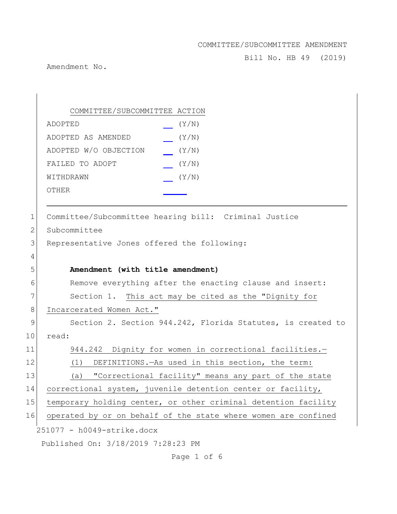Bill No. HB 49 (2019)

Amendment No.

251077 - h0049-strike.docx Published On: 3/18/2019 7:28:23 PM COMMITTEE/SUBCOMMITTEE ACTION ADOPTED (Y/N) ADOPTED AS AMENDED (Y/N) ADOPTED W/O OBJECTION (Y/N) FAILED TO ADOPT  $(Y/N)$ WITHDRAWN  $(Y/N)$ OTHER 1 Committee/Subcommittee hearing bill: Criminal Justice 2 Subcommittee 3 Representative Jones offered the following: 4 5 **Amendment (with title amendment)** 6 Remove everything after the enacting clause and insert: 7 Section 1. This act may be cited as the "Dignity for 8 Incarcerated Women Act." 9 Section 2. Section 944.242, Florida Statutes, is created to 10 read: 11 944.242 Dignity for women in correctional facilities.— 12 (1) DEFINITIONS.—As used in this section, the term: 13 (a) "Correctional facility" means any part of the state 14 correctional system, juvenile detention center or facility, 15 temporary holding center, or other criminal detention facility 16 operated by or on behalf of the state where women are confined

Page 1 of 6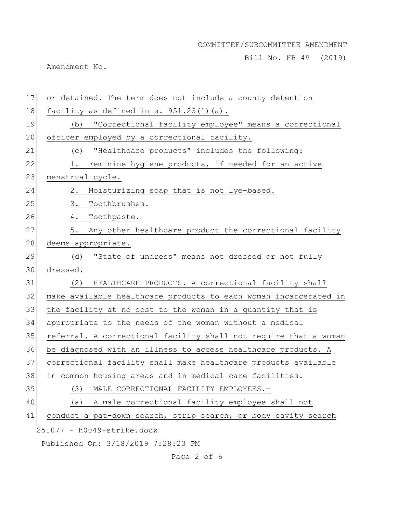Bill No. HB 49 (2019)

Amendment No.

| 17 | or detained. The term does not include a county detention        |
|----|------------------------------------------------------------------|
| 18 | facility as defined in $s. 951.23(1)(a)$ .                       |
| 19 | "Correctional facility employee" means a correctional<br>(b)     |
| 20 | officer employed by a correctional facility.                     |
| 21 | "Healthcare products" includes the following:<br>(C)             |
| 22 | Feminine hygiene products, if needed for an active<br>1.         |
| 23 | menstrual cycle.                                                 |
| 24 | Moisturizing soap that is not lye-based.<br>2.                   |
| 25 | 3.<br>Toothbrushes.                                              |
| 26 | Toothpaste.<br>4.                                                |
| 27 | Any other healthcare product the correctional facility<br>5.     |
| 28 | deems appropriate.                                               |
| 29 | "State of undress" means not dressed or not fully<br>(d)         |
| 30 | dressed.                                                         |
| 31 | (2)<br>HEALTHCARE PRODUCTS. - A correctional facility shall      |
| 32 | make available healthcare products to each woman incarcerated in |
| 33 | the facility at no cost to the woman in a quantity that is       |
| 34 | appropriate to the needs of the woman without a medical          |
| 35 | referral. A correctional facility shall not require that a woman |
| 36 | be diagnosed with an illness to access healthcare products. A    |
| 37 | correctional facility shall make healthcare products available   |
| 38 | in common housing areas and in medical care facilities.          |
| 39 | (3)<br>MALE CORRECTIONAL FACILITY EMPLOYEES.-                    |
| 40 | A male correctional facility employee shall not<br>(a)           |
| 41 | conduct a pat-down search, strip search, or body cavity search   |
|    | 251077 - h0049-strike.docx                                       |
|    | Published On: 3/18/2019 7:28:23 PM                               |

Page 2 of 6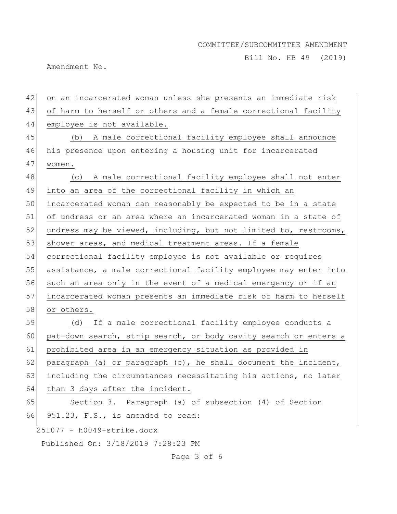Bill No. HB 49 (2019)

Amendment No.

| 42 | on an incarcerated woman unless she presents an immediate risk   |
|----|------------------------------------------------------------------|
| 43 | of harm to herself or others and a female correctional facility  |
| 44 | employee is not available.                                       |
| 45 | (b) A male correctional facility employee shall announce         |
| 46 | his presence upon entering a housing unit for incarcerated       |
| 47 | women.                                                           |
| 48 | (c) A male correctional facility employee shall not enter        |
| 49 | into an area of the correctional facility in which an            |
| 50 | incarcerated woman can reasonably be expected to be in a state   |
| 51 | of undress or an area where an incarcerated woman in a state of  |
| 52 | undress may be viewed, including, but not limited to, restrooms, |
| 53 | shower areas, and medical treatment areas. If a female           |
| 54 | correctional facility employee is not available or requires      |
| 55 | assistance, a male correctional facility employee may enter into |
| 56 | such an area only in the event of a medical emergency or if an   |
| 57 | incarcerated woman presents an immediate risk of harm to herself |
| 58 | or others.                                                       |
| 59 | (d) If a male correctional facility employee conducts a          |
| 60 | pat-down search, strip search, or body cavity search or enters a |
| 61 | prohibited area in an emergency situation as provided in         |
| 62 | paragraph (a) or paragraph (c), he shall document the incident,  |
| 63 | including the circumstances necessitating his actions, no later  |
| 64 | than 3 days after the incident.                                  |
| 65 | Section 3. Paragraph (a) of subsection (4) of Section            |
| 66 | 951.23, F.S., is amended to read:                                |
|    | 251077 - h0049-strike.docx                                       |
|    | Published On: 3/18/2019 7:28:23 PM                               |
|    | Page 3 of 6                                                      |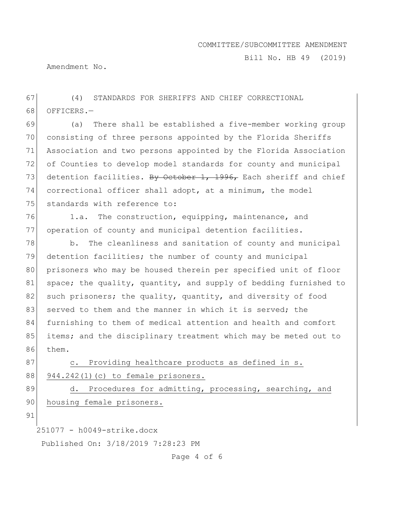Bill No. HB 49 (2019)

Amendment No.

67 (4) STANDARDS FOR SHERIFFS AND CHIEF CORRECTIONAL 68 OFFICERS.-

 (a) There shall be established a five-member working group consisting of three persons appointed by the Florida Sheriffs Association and two persons appointed by the Florida Association of Counties to develop model standards for county and municipal 73 detention facilities. By October 1, 1996, Each sheriff and chief correctional officer shall adopt, at a minimum, the model 75 standards with reference to:

76 1.a. The construction, equipping, maintenance, and 77 operation of county and municipal detention facilities.

78 b. The cleanliness and sanitation of county and municipal 79 detention facilities; the number of county and municipal 80 prisoners who may be housed therein per specified unit of floor 81 space; the quality, quantity, and supply of bedding furnished to 82 such prisoners; the quality, quantity, and diversity of food 83 served to them and the manner in which it is served; the 84 furnishing to them of medical attention and health and comfort 85 items; and the disciplinary treatment which may be meted out to 86 them.

87 c. Providing healthcare products as defined in s. 88 944.242(1)(c) to female prisoners.

89 d. Procedures for admitting, processing, searching, and 90 housing female prisoners.

91

251077 - h0049-strike.docx

Published On: 3/18/2019 7:28:23 PM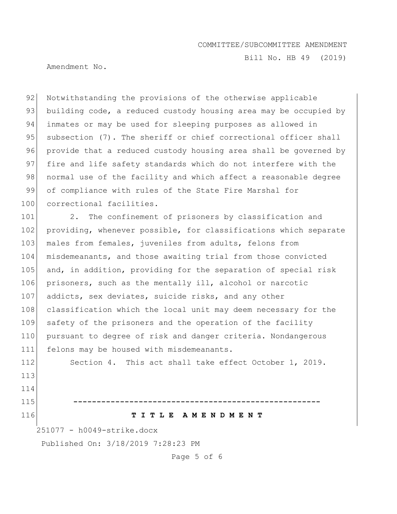Bill No. HB 49 (2019)

Amendment No.

92 Notwithstanding the provisions of the otherwise applicable 93 building code, a reduced custody housing area may be occupied by 94 inmates or may be used for sleeping purposes as allowed in 95 subsection (7). The sheriff or chief correctional officer shall 96 provide that a reduced custody housing area shall be governed by 97 fire and life safety standards which do not interfere with the 98 | normal use of the facility and which affect a reasonable degree 99 of compliance with rules of the State Fire Marshal for 100 correctional facilities.

101 2. The confinement of prisoners by classification and 102 providing, whenever possible, for classifications which separate 103 males from females, juveniles from adults, felons from 104 misdemeanants, and those awaiting trial from those convicted 105 and, in addition, providing for the separation of special risk 106 prisoners, such as the mentally ill, alcohol or narcotic 107 addicts, sex deviates, suicide risks, and any other 108 classification which the local unit may deem necessary for the 109 safety of the prisoners and the operation of the facility 110 pursuant to degree of risk and danger criteria. Nondangerous 111 felons may be housed with misdemeanants.

112 Section 4. This act shall take effect October 1, 2019. 113 114

### 116 **T I T L E A M E N D M E N T**

251077 - h0049-strike.docx

Published On: 3/18/2019 7:28:23 PM

115 **-----------------------------------------------------**

Page 5 of 6